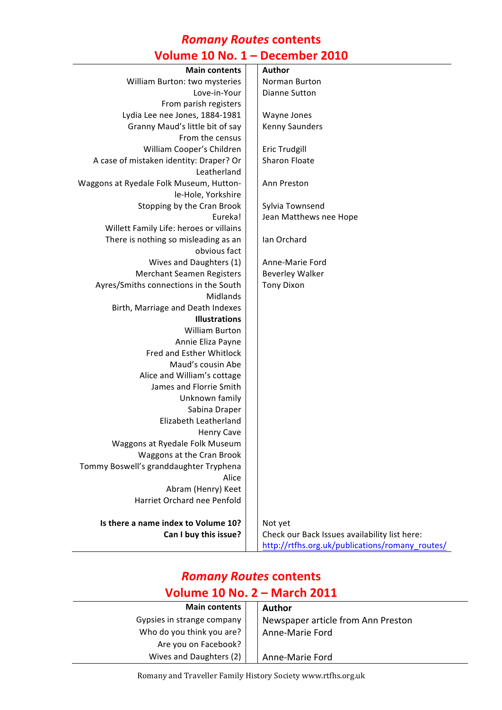#### *Romany Routes* **contents Volume 10 No. 1 – December 2010**

| 0.                                      | Petennei Euit                                   |
|-----------------------------------------|-------------------------------------------------|
| <b>Main contents</b>                    | Author                                          |
| William Burton: two mysteries           | Norman Burton                                   |
| Love-in-Your                            | <b>Dianne Sutton</b>                            |
| From parish registers                   |                                                 |
| Lydia Lee nee Jones, 1884-1981          | Wayne Jones                                     |
| Granny Maud's little bit of say         | Kenny Saunders                                  |
| From the census                         |                                                 |
| William Cooper's Children               | Eric Trudgill                                   |
| A case of mistaken identity: Draper? Or | <b>Sharon Floate</b>                            |
| Leatherland                             |                                                 |
| Waggons at Ryedale Folk Museum, Hutton- | Ann Preston                                     |
| le-Hole, Yorkshire                      |                                                 |
| Stopping by the Cran Brook              | Sylvia Townsend                                 |
| Eureka!                                 | Jean Matthews nee Hope                          |
| Willett Family Life: heroes or villains |                                                 |
| There is nothing so misleading as an    | Ian Orchard                                     |
| obvious fact                            |                                                 |
| Wives and Daughters (1)                 | Anne-Marie Ford                                 |
| <b>Merchant Seamen Registers</b>        | <b>Beverley Walker</b>                          |
| Ayres/Smiths connections in the South   | <b>Tony Dixon</b>                               |
| Midlands                                |                                                 |
| Birth, Marriage and Death Indexes       |                                                 |
| <b>Illustrations</b>                    |                                                 |
| <b>William Burton</b>                   |                                                 |
| Annie Eliza Payne                       |                                                 |
| Fred and Esther Whitlock                |                                                 |
| Maud's cousin Abe                       |                                                 |
| Alice and William's cottage             |                                                 |
| James and Florrie Smith                 |                                                 |
| Unknown family                          |                                                 |
| Sabina Draper                           |                                                 |
| Elizabeth Leatherland                   |                                                 |
| <b>Henry Cave</b>                       |                                                 |
| Waggons at Ryedale Folk Museum          |                                                 |
| Waggons at the Cran Brook               |                                                 |
| Tommy Boswell's granddaughter Tryphena  |                                                 |
| Alice                                   |                                                 |
| Abram (Henry) Keet                      |                                                 |
| Harriet Orchard nee Penfold             |                                                 |
| Is there a name index to Volume 10?     | Not yet                                         |
| Can I buy this issue?                   | Check our Back Issues availability list here:   |
|                                         | http://rtfhs.org.uk/publications/romany_routes/ |
|                                         |                                                 |

# *Romany Routes* **contents Volume 10 No. 2 – March 2011**

| <b>Main contents</b>       | <b>Author</b>                      |
|----------------------------|------------------------------------|
| Gypsies in strange company | Newspaper article from Ann Preston |
| Who do you think you are?  | Anne-Marie Ford                    |
| Are you on Facebook?       |                                    |
| Wives and Daughters (2)    | Anne-Marie Ford                    |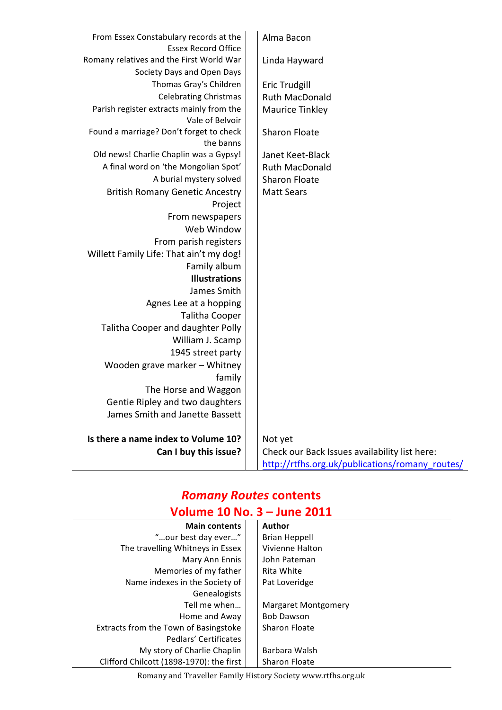| From Essex Constabulary records at the                      | Alma Bacon                                      |
|-------------------------------------------------------------|-------------------------------------------------|
| <b>Essex Record Office</b>                                  |                                                 |
| Romany relatives and the First World War                    | Linda Hayward                                   |
| Society Days and Open Days<br>Thomas Gray's Children        |                                                 |
|                                                             | <b>Eric Trudgill</b>                            |
| <b>Celebrating Christmas</b>                                | <b>Ruth MacDonald</b>                           |
| Parish register extracts mainly from the<br>Vale of Belvoir | <b>Maurice Tinkley</b>                          |
| Found a marriage? Don't forget to check                     | <b>Sharon Floate</b>                            |
| the banns                                                   |                                                 |
| Old news! Charlie Chaplin was a Gypsy!                      | Janet Keet-Black                                |
| A final word on 'the Mongolian Spot'                        | <b>Ruth MacDonald</b>                           |
| A burial mystery solved                                     | <b>Sharon Floate</b>                            |
| <b>British Romany Genetic Ancestry</b>                      | <b>Matt Sears</b>                               |
| Project                                                     |                                                 |
| From newspapers                                             |                                                 |
| Web Window                                                  |                                                 |
| From parish registers                                       |                                                 |
| Willett Family Life: That ain't my dog!                     |                                                 |
| Family album                                                |                                                 |
| <b>Illustrations</b>                                        |                                                 |
| James Smith                                                 |                                                 |
| Agnes Lee at a hopping                                      |                                                 |
| <b>Talitha Cooper</b>                                       |                                                 |
| Talitha Cooper and daughter Polly                           |                                                 |
| William J. Scamp                                            |                                                 |
| 1945 street party                                           |                                                 |
| Wooden grave marker - Whitney                               |                                                 |
| family                                                      |                                                 |
| The Horse and Waggon                                        |                                                 |
| Gentie Ripley and two daughters                             |                                                 |
| James Smith and Janette Bassett                             |                                                 |
| Is there a name index to Volume 10?                         | Not yet                                         |
| Can I buy this issue?                                       | Check our Back Issues availability list here:   |
|                                                             | http://rtfhs.org.uk/publications/romany_routes/ |

# *Romany Routes* **contents**

# **Volume 10 No. 3 – June 2011**

| <b>Main contents</b>                     | <b>Author</b>        |  |
|------------------------------------------|----------------------|--|
| "our best day ever"                      | <b>Brian Heppell</b> |  |
| The travelling Whitneys in Essex         | Vivienne Halton      |  |
| Mary Ann Ennis                           | John Pateman         |  |
| Memories of my father                    | Rita White           |  |
| Name indexes in the Society of           | Pat Loveridge        |  |
| Genealogists                             |                      |  |
| Tell me when                             | Margaret Montgomery  |  |
| Home and Away                            | <b>Bob Dawson</b>    |  |
| Extracts from the Town of Basingstoke    | <b>Sharon Floate</b> |  |
| Pedlars' Certificates                    |                      |  |
| My story of Charlie Chaplin              | Barbara Walsh        |  |
| Clifford Chilcott (1898-1970): the first | <b>Sharon Floate</b> |  |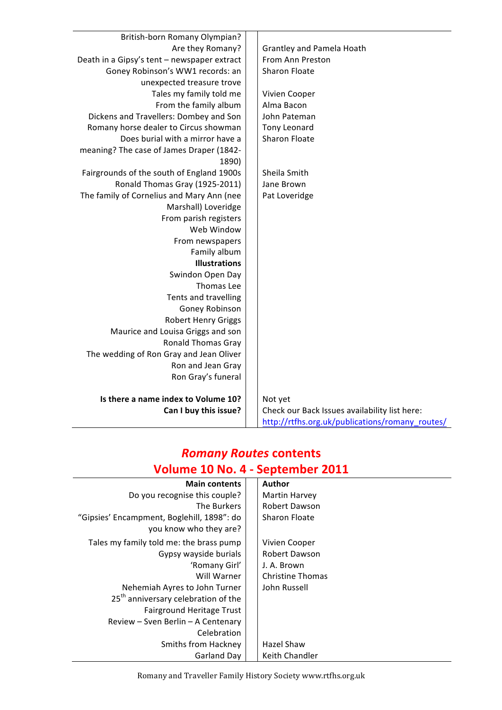| <b>British-born Romany Olympian?</b>        |                                                 |
|---------------------------------------------|-------------------------------------------------|
| Are they Romany?                            | <b>Grantley and Pamela Hoath</b>                |
| Death in a Gipsy's tent - newspaper extract | From Ann Preston                                |
| Goney Robinson's WW1 records: an            | Sharon Floate                                   |
| unexpected treasure trove                   |                                                 |
| Tales my family told me                     | Vivien Cooper                                   |
| From the family album                       | Alma Bacon                                      |
| Dickens and Travellers: Dombey and Son      | John Pateman                                    |
| Romany horse dealer to Circus showman       | Tony Leonard                                    |
| Does burial with a mirror have a            | <b>Sharon Floate</b>                            |
| meaning? The case of James Draper (1842-    |                                                 |
| 1890)                                       |                                                 |
| Fairgrounds of the south of England 1900s   | Sheila Smith                                    |
| Ronald Thomas Gray (1925-2011)              | Jane Brown                                      |
| The family of Cornelius and Mary Ann (nee   | Pat Loveridge                                   |
| Marshall) Loveridge                         |                                                 |
| From parish registers                       |                                                 |
| Web Window                                  |                                                 |
| From newspapers                             |                                                 |
| Family album                                |                                                 |
| <b>Illustrations</b>                        |                                                 |
| Swindon Open Day                            |                                                 |
| Thomas Lee                                  |                                                 |
| Tents and travelling                        |                                                 |
| Goney Robinson                              |                                                 |
| <b>Robert Henry Griggs</b>                  |                                                 |
| Maurice and Louisa Griggs and son           |                                                 |
| <b>Ronald Thomas Gray</b>                   |                                                 |
| The wedding of Ron Gray and Jean Oliver     |                                                 |
| Ron and Jean Gray                           |                                                 |
| Ron Gray's funeral                          |                                                 |
|                                             |                                                 |
| Is there a name index to Volume 10?         | Not yet                                         |
| Can I buy this issue?                       | Check our Back Issues availability list here:   |
|                                             | http://rtfhs.org.uk/publications/romany_routes/ |

## *Romany Routes* **contents Volume 10 No. 4 - September 2011**

| <b>Main contents</b>                            | <b>Author</b>           |
|-------------------------------------------------|-------------------------|
| Do you recognise this couple?                   | Martin Harvey           |
| The Burkers                                     | Robert Dawson           |
| "Gipsies' Encampment, Boglehill, 1898": do      | <b>Sharon Floate</b>    |
| you know who they are?                          |                         |
| Tales my family told me: the brass pump         | Vivien Cooper           |
| Gypsy wayside burials                           | <b>Robert Dawson</b>    |
| 'Romany Girl'                                   | J. A. Brown             |
| Will Warner                                     | <b>Christine Thomas</b> |
| Nehemiah Ayres to John Turner                   | John Russell            |
| 25 <sup>th</sup> anniversary celebration of the |                         |
| Fairground Heritage Trust                       |                         |
| Review - Sven Berlin - A Centenary              |                         |
| Celebration                                     |                         |
| Smiths from Hackney                             | Hazel Shaw              |
| Garland Day                                     | Keith Chandler          |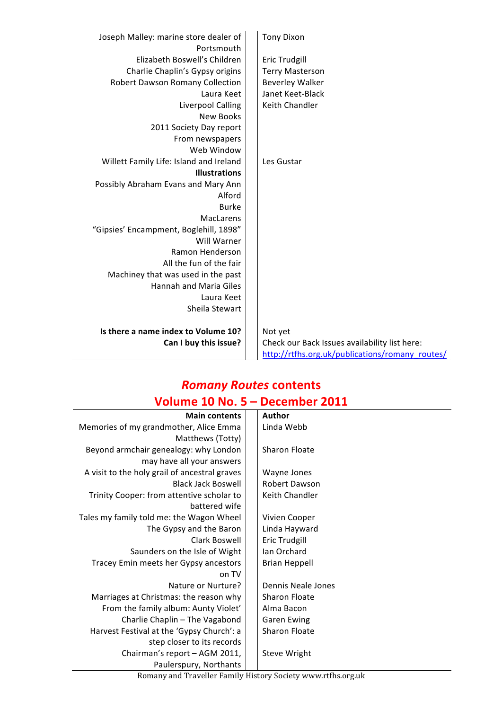| Joseph Malley: marine store dealer of   | <b>Tony Dixon</b>                               |
|-----------------------------------------|-------------------------------------------------|
| Portsmouth                              |                                                 |
| Elizabeth Boswell's Children            | <b>Eric Trudgill</b>                            |
| Charlie Chaplin's Gypsy origins         | <b>Terry Masterson</b>                          |
| Robert Dawson Romany Collection         | <b>Beverley Walker</b>                          |
| Laura Keet                              | Janet Keet-Black                                |
| <b>Liverpool Calling</b>                | Keith Chandler                                  |
| New Books                               |                                                 |
| 2011 Society Day report                 |                                                 |
| From newspapers                         |                                                 |
| Web Window                              |                                                 |
| Willett Family Life: Island and Ireland | Les Gustar                                      |
| <b>Illustrations</b>                    |                                                 |
| Possibly Abraham Evans and Mary Ann     |                                                 |
| Alford                                  |                                                 |
| <b>Burke</b>                            |                                                 |
| <b>MacLarens</b>                        |                                                 |
| "Gipsies' Encampment, Boglehill, 1898"  |                                                 |
| Will Warner                             |                                                 |
| Ramon Henderson                         |                                                 |
| All the fun of the fair                 |                                                 |
| Machiney that was used in the past      |                                                 |
| Hannah and Maria Giles                  |                                                 |
| Laura Keet                              |                                                 |
| Sheila Stewart                          |                                                 |
| Is there a name index to Volume 10?     | Not yet                                         |
| Can I buy this issue?                   | Check our Back Issues availability list here:   |
|                                         | http://rtfhs.org.uk/publications/romany_routes/ |

### *Romany Routes* **contents Volume 10 No. 5 - December 2011**

| <b>Main contents</b>                          | Author               |
|-----------------------------------------------|----------------------|
| Memories of my grandmother, Alice Emma        | Linda Webb           |
| Matthews (Totty)                              |                      |
| Beyond armchair genealogy: why London         | Sharon Floate        |
| may have all your answers                     |                      |
| A visit to the holy grail of ancestral graves | Wayne Jones          |
| <b>Black Jack Boswell</b>                     | Robert Dawson        |
| Trinity Cooper: from attentive scholar to     | Keith Chandler       |
| battered wife                                 |                      |
| Tales my family told me: the Wagon Wheel      | Vivien Cooper        |
| The Gypsy and the Baron                       | Linda Hayward        |
| Clark Boswell                                 | <b>Eric Trudgill</b> |
| Saunders on the Isle of Wight                 | Ian Orchard          |
| Tracey Emin meets her Gypsy ancestors         | <b>Brian Heppell</b> |
| on TV                                         |                      |
| Nature or Nurture?                            | Dennis Neale Jones   |
| Marriages at Christmas: the reason why        | Sharon Floate        |
| From the family album: Aunty Violet'          | Alma Bacon           |
| Charlie Chaplin - The Vagabond                | <b>Garen Ewing</b>   |
| Harvest Festival at the 'Gypsy Church': a     | Sharon Floate        |
| step closer to its records                    |                      |
| Chairman's report - AGM 2011,                 | <b>Steve Wright</b>  |
| Paulerspury, Northants                        |                      |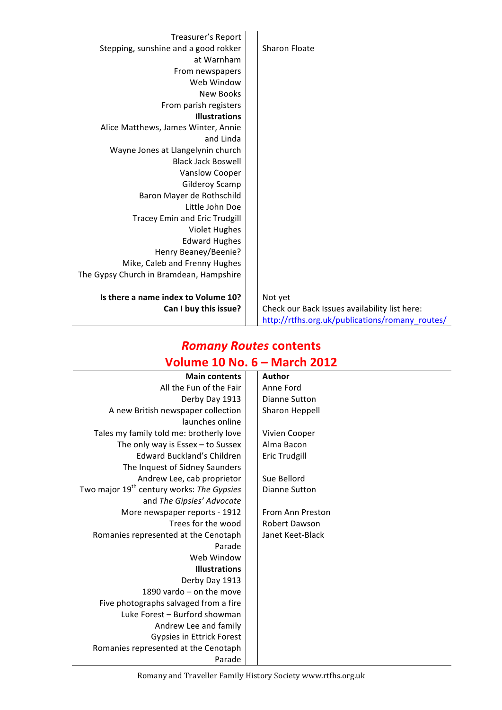| Treasurer's Report                      |                                                 |
|-----------------------------------------|-------------------------------------------------|
| Stepping, sunshine and a good rokker    | <b>Sharon Floate</b>                            |
| at Warnham                              |                                                 |
| From newspapers                         |                                                 |
| Web Window                              |                                                 |
| <b>New Books</b>                        |                                                 |
| From parish registers                   |                                                 |
| <b>Illustrations</b>                    |                                                 |
| Alice Matthews, James Winter, Annie     |                                                 |
| and Linda                               |                                                 |
| Wayne Jones at Llangelynin church       |                                                 |
| <b>Black Jack Boswell</b>               |                                                 |
| Vanslow Cooper                          |                                                 |
| Gilderoy Scamp                          |                                                 |
| Baron Mayer de Rothschild               |                                                 |
| Little John Doe                         |                                                 |
| Tracey Emin and Eric Trudgill           |                                                 |
| <b>Violet Hughes</b>                    |                                                 |
| <b>Edward Hughes</b>                    |                                                 |
| Henry Beaney/Beenie?                    |                                                 |
| Mike, Caleb and Frenny Hughes           |                                                 |
| The Gypsy Church in Bramdean, Hampshire |                                                 |
|                                         |                                                 |
| Is there a name index to Volume 10?     | Not yet                                         |
| Can I buy this issue?                   | Check our Back Issues availability list here:   |
|                                         | http://rtfhs.org.uk/publications/romany_routes/ |

# *Romany Routes* **contents Volume 10 No. 6 – March 2012**

| <b>Main contents</b>                                  | Author                |
|-------------------------------------------------------|-----------------------|
| All the Fun of the Fair                               | Anne Ford             |
| Derby Day 1913                                        | Dianne Sutton         |
| A new British newspaper collection                    | <b>Sharon Heppell</b> |
| launches online                                       |                       |
| Tales my family told me: brotherly love               | Vivien Cooper         |
| The only way is $Essex-to$ Sussex                     | Alma Bacon            |
| <b>Edward Buckland's Children</b>                     | <b>Eric Trudgill</b>  |
| The Inquest of Sidney Saunders                        |                       |
| Andrew Lee, cab proprietor                            | Sue Bellord           |
| Two major 19 <sup>th</sup> century works: The Gypsies | <b>Dianne Sutton</b>  |
| and The Gipsies' Advocate                             |                       |
| More newspaper reports - 1912                         | From Ann Preston      |
| Trees for the wood                                    | <b>Robert Dawson</b>  |
| Romanies represented at the Cenotaph                  | Janet Keet-Black      |
| Parade                                                |                       |
| Web Window                                            |                       |
| <b>Illustrations</b>                                  |                       |
| Derby Day 1913                                        |                       |
| 1890 vardo $-$ on the move                            |                       |
| Five photographs salvaged from a fire                 |                       |
| Luke Forest - Burford showman                         |                       |
| Andrew Lee and family                                 |                       |
| Gypsies in Ettrick Forest                             |                       |
| Romanies represented at the Cenotaph                  |                       |
| Parade                                                |                       |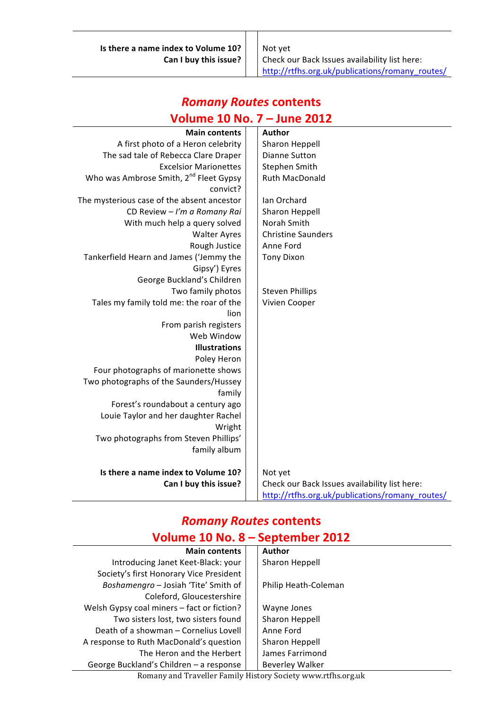**Is there a name index to Volume 10?** | Not yet

**Can I buy this issue?** | Check our Back Issues availability list here: http://rtfhs.org.uk/publications/romany\_routes/

#### **Volume 10 No. 7 – June 2012 Main contents** | Author A first photo of a Heron celebrity  $\vert$  Sharon Heppell The sad tale of Rebecca Clare Draper  $\vert$   $\vert$  Dianne Sutton Excelsior Marionettes  $\vert$  Stephen Smith Who was Ambrose Smith, 2<sup>nd</sup> Fleet Gypsy convict? Ruth MacDonald The mysterious case of the absent ancestor  $\vert \ \vert$  Ian Orchard CD Review - I'm a Romany Rai | Sharon Heppell With much help a query solved  $\vert$  Norah Smith Walter Ayres | Christine Saunders Rough Justice | Anne Ford Tankerfield Hearn and James ('Jemmy the Gipsy') Eyres Tony Dixon George Buckland's Children Two family photos  $\vert \ \vert$  Steven Phillips Tales my family told me: the roar of the lion Vivien Cooper From parish registers Web Window **Illustrations** Poley Heron Four photographs of marionette shows Two photographs of the Saunders/Hussey family Forest's roundabout a century ago Louie Taylor and her daughter Rachel Wright Two photographs from Steven Phillips' family album **Is there a name index to Volume 10?** | Not yet **Can I buy this issue?** | Check our Back Issues availability list here: http://rtfhs.org.uk/publications/romany\_routes/

# *Romany Routes* **contents**

#### *Romany Routes* **contents Volume 10 No. 8 – September 2012**

| <b>Main contents</b>                       |  | <b>Author</b>        |
|--------------------------------------------|--|----------------------|
| Introducing Janet Keet-Black: your         |  | Sharon Heppell       |
| Society's first Honorary Vice President    |  |                      |
| Boshamengro - Josiah 'Tite' Smith of       |  | Philip Heath-Coleman |
| Coleford, Gloucestershire                  |  |                      |
| Welsh Gypsy coal miners - fact or fiction? |  | Wayne Jones          |
| Two sisters lost, two sisters found        |  | Sharon Heppell       |
| Death of a showman – Cornelius Lovell      |  | Anne Ford            |
| A response to Ruth MacDonald's question    |  | Sharon Heppell       |
| The Heron and the Herbert                  |  | James Farrimond      |
| George Buckland's Children - a response    |  | Beverley Walker      |

Romany and Traveller Family History Society www.rtfhs.org.uk